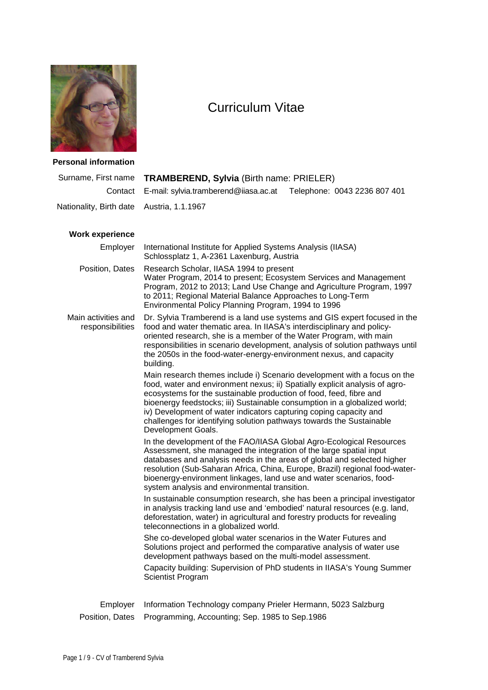

# Curriculum Vitae

## **Personal information**

| Surname, First name                     | <b>TRAMBEREND, Sylvia (Birth name: PRIELER)</b>                                                                                                                                                                                                                                                                                                                                                                                                                               |
|-----------------------------------------|-------------------------------------------------------------------------------------------------------------------------------------------------------------------------------------------------------------------------------------------------------------------------------------------------------------------------------------------------------------------------------------------------------------------------------------------------------------------------------|
| Contact                                 | E-mail: sylvia.tramberend@iiasa.ac.at<br>Telephone: 0043 2236 807 401                                                                                                                                                                                                                                                                                                                                                                                                         |
| Nationality, Birth date                 | Austria, 1.1.1967                                                                                                                                                                                                                                                                                                                                                                                                                                                             |
| <b>Work experience</b>                  |                                                                                                                                                                                                                                                                                                                                                                                                                                                                               |
| Employer                                | International Institute for Applied Systems Analysis (IIASA)<br>Schlossplatz 1, A-2361 Laxenburg, Austria                                                                                                                                                                                                                                                                                                                                                                     |
| Position, Dates                         | Research Scholar, IIASA 1994 to present<br>Water Program, 2014 to present; Ecosystem Services and Management<br>Program, 2012 to 2013; Land Use Change and Agriculture Program, 1997<br>to 2011; Regional Material Balance Approaches to Long-Term<br>Environmental Policy Planning Program, 1994 to 1996                                                                                                                                                                     |
| Main activities and<br>responsibilities | Dr. Sylvia Tramberend is a land use systems and GIS expert focused in the<br>food and water thematic area. In IIASA's interdisciplinary and policy-<br>oriented research, she is a member of the Water Program, with main<br>responsibilities in scenario development, analysis of solution pathways until<br>the 2050s in the food-water-energy-environment nexus, and capacity<br>building.                                                                                 |
|                                         | Main research themes include i) Scenario development with a focus on the<br>food, water and environment nexus; ii) Spatially explicit analysis of agro-<br>ecosystems for the sustainable production of food, feed, fibre and<br>bioenergy feedstocks; iii) Sustainable consumption in a globalized world;<br>iv) Development of water indicators capturing coping capacity and<br>challenges for identifying solution pathways towards the Sustainable<br>Development Goals. |
|                                         | In the development of the FAO/IIASA Global Agro-Ecological Resources<br>Assessment, she managed the integration of the large spatial input<br>databases and analysis needs in the areas of global and selected higher<br>resolution (Sub-Saharan Africa, China, Europe, Brazil) regional food-water-<br>bioenergy-environment linkages, land use and water scenarios, food-<br>system analysis and environmental transition.                                                  |
|                                         | In sustainable consumption research, she has been a principal investigator<br>in analysis tracking land use and 'embodied' natural resources (e.g. land,<br>deforestation, water) in agricultural and forestry products for revealing<br>teleconnections in a globalized world.                                                                                                                                                                                               |
|                                         | She co-developed global water scenarios in the Water Futures and<br>Solutions project and performed the comparative analysis of water use<br>development pathways based on the multi-model assessment.                                                                                                                                                                                                                                                                        |
|                                         | Capacity building: Supervision of PhD students in IIASA's Young Summer<br><b>Scientist Program</b>                                                                                                                                                                                                                                                                                                                                                                            |
| Employer                                | Information Technology company Prieler Hermann, 5023 Salzburg                                                                                                                                                                                                                                                                                                                                                                                                                 |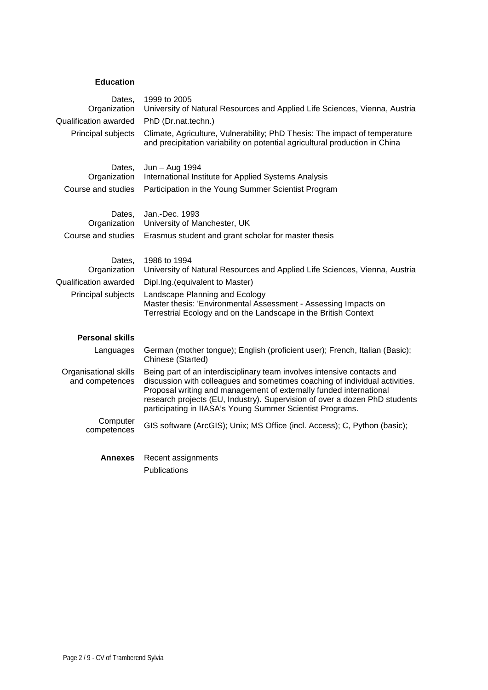## **Education**

| Dates,<br>Organization                   | 1999 to 2005<br>University of Natural Resources and Applied Life Sciences, Vienna, Austria                                                                                                                                                                                                                                                                              |
|------------------------------------------|-------------------------------------------------------------------------------------------------------------------------------------------------------------------------------------------------------------------------------------------------------------------------------------------------------------------------------------------------------------------------|
| Qualification awarded                    | PhD (Dr.nat.techn.)                                                                                                                                                                                                                                                                                                                                                     |
| Principal subjects                       | Climate, Agriculture, Vulnerability; PhD Thesis: The impact of temperature<br>and precipitation variability on potential agricultural production in China                                                                                                                                                                                                               |
| Dates,<br>Organization                   | Jun - Aug 1994<br>International Institute for Applied Systems Analysis                                                                                                                                                                                                                                                                                                  |
| Course and studies                       | Participation in the Young Summer Scientist Program                                                                                                                                                                                                                                                                                                                     |
| Dates,<br>Organization                   | Jan.-Dec. 1993<br>University of Manchester, UK                                                                                                                                                                                                                                                                                                                          |
| Course and studies                       | Erasmus student and grant scholar for master thesis                                                                                                                                                                                                                                                                                                                     |
| Dates,<br>Organization                   | 1986 to 1994<br>University of Natural Resources and Applied Life Sciences, Vienna, Austria                                                                                                                                                                                                                                                                              |
| Qualification awarded                    | Dipl.Ing.(equivalent to Master)                                                                                                                                                                                                                                                                                                                                         |
| Principal subjects                       | Landscape Planning and Ecology<br>Master thesis: 'Environmental Assessment - Assessing Impacts on<br>Terrestrial Ecology and on the Landscape in the British Context                                                                                                                                                                                                    |
| <b>Personal skills</b>                   |                                                                                                                                                                                                                                                                                                                                                                         |
| Languages                                | German (mother tongue); English (proficient user); French, Italian (Basic);<br>Chinese (Started)                                                                                                                                                                                                                                                                        |
| Organisational skills<br>and competences | Being part of an interdisciplinary team involves intensive contacts and<br>discussion with colleagues and sometimes coaching of individual activities.<br>Proposal writing and management of externally funded international<br>research projects (EU, Industry). Supervision of over a dozen PhD students<br>participating in IIASA's Young Summer Scientist Programs. |
| Computer<br>competences                  | GIS software (ArcGIS); Unix; MS Office (incl. Access); C, Python (basic);                                                                                                                                                                                                                                                                                               |
| Annexes                                  | Recent assignments                                                                                                                                                                                                                                                                                                                                                      |

Publications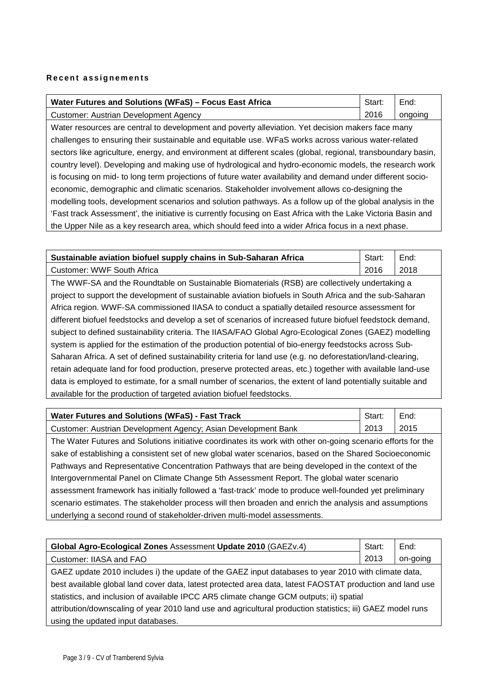#### **Recent assignements**

| Water Futures and Solutions (WFaS) - Focus East Africa |      | End:    |
|--------------------------------------------------------|------|---------|
| Customer: Austrian Development Agency                  | 2016 | ongoing |

Water resources are central to development and poverty alleviation. Yet decision makers face many challenges to ensuring their sustainable and equitable use. WFaS works across various water-related sectors like agriculture, energy, and environment at different scales (global, regional, transboundary basin, country level). Developing and making use of hydrological and hydro-economic models, the research work is focusing on mid- to long term projections of future water availability and demand under different socioeconomic, demographic and climatic scenarios. Stakeholder involvement allows co-designing the modelling tools, development scenarios and solution pathways. As a follow up of the global analysis in the 'Fast track Assessment', the initiative is currently focusing on East Africa with the Lake Victoria Basin and the Upper Nile as a key research area, which should feed into a wider Africa focus in a next phase.

| Sustainable aviation biofuel supply chains in Sub-Saharan Africa                               |      | End: |
|------------------------------------------------------------------------------------------------|------|------|
| Customer: WWF South Africa                                                                     | 2016 | 2018 |
| The WWF-SA and the Roundtable on Sustainable Biomaterials (RSB) are collectively undertaking a |      |      |

project to support the development of sustainable aviation biofuels in South Africa and the sub-Saharan Africa region. WWF-SA commissioned IIASA to conduct a spatially detailed resource assessment for different biofuel feedstocks and develop a set of scenarios of increased future biofuel feedstock demand, subject to defined sustainability criteria. The IIASA/FAO Global Agro-Ecological Zones (GAEZ) modelling system is applied for the estimation of the production potential of bio-energy feedstocks across Sub-Saharan Africa. A set of defined sustainability criteria for land use (e.g. no deforestation/land-clearing, retain adequate land for food production, preserve protected areas, etc.) together with available land-use data is employed to estimate, for a small number of scenarios, the extent of land potentially suitable and available for the production of targeted aviation biofuel feedstocks.

| Water Futures and Solutions (WFaS) - Fast Track<br>Start:     |      | End:  |
|---------------------------------------------------------------|------|-------|
| Customer: Austrian Development Agency; Asian Development Bank | 2013 | 12015 |

The Water Futures and Solutions initiative coordinates its work with other on-going scenario efforts for the sake of establishing a consistent set of new global water scenarios, based on the Shared Socioeconomic Pathways and Representative Concentration Pathways that are being developed in the context of the Intergovernmental Panel on Climate Change 5th Assessment Report. The global water scenario assessment framework has initially followed a 'fast-track' mode to produce well-founded yet preliminary scenario estimates. The stakeholder process will then broaden and enrich the analysis and assumptions underlying a second round of stakeholder-driven multi-model assessments.

| Global Agro-Ecological Zones Assessment Update 2010 (GAEZv.4)                                              | Start: | End:     |
|------------------------------------------------------------------------------------------------------------|--------|----------|
| Customer: IIASA and FAO                                                                                    | 2013   | on-going |
| GAEZ update 2010 includes i) the update of the GAEZ input databases to year 2010 with climate data,        |        |          |
| best available global land cover data, latest protected area data, latest FAOSTAT production and land use  |        |          |
| statistics, and inclusion of available IPCC AR5 climate change GCM outputs; ii) spatial                    |        |          |
| attribution/downscaling of year 2010 land use and agricultural production statistics; iii) GAEZ model runs |        |          |
| using the updated input databases.                                                                         |        |          |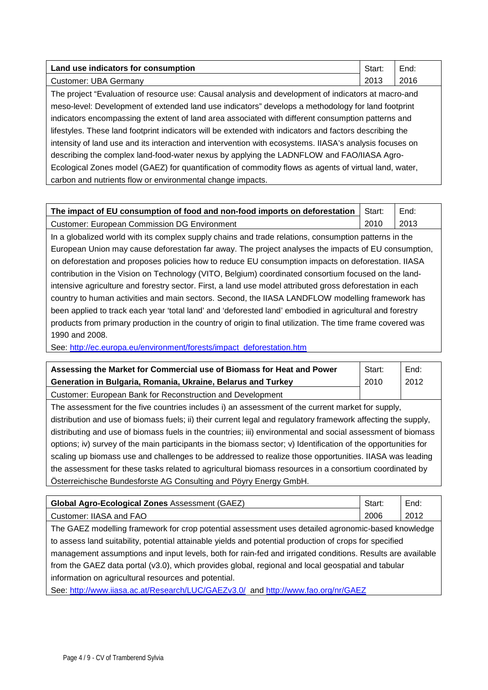| Land use indicators for consumption                                                                     | Start: | End: |
|---------------------------------------------------------------------------------------------------------|--------|------|
| <b>Customer: UBA Germany</b>                                                                            | 2013   | 2016 |
| The project "Evaluation of resource use: Causal analysis and development of indicators at macro-and     |        |      |
| meso-level: Development of extended land use indicators" develops a methodology for land footprint      |        |      |
| indicators encompassing the extent of land area associated with different consumption patterns and      |        |      |
| lifestyles. These land footprint indicators will be extended with indicators and factors describing the |        |      |
| intensity of land use and its interaction and intervention with ecosystems. IIASA's analysis focuses on |        |      |
| describing the complex land-food-water nexus by applying the LADNFLOW and FAO/IIASA Agro-               |        |      |
| Ecological Zones model (GAEZ) for quantification of commodity flows as agents of virtual land, water,   |        |      |
| carbon and nutrients flow or environmental change impacts.                                              |        |      |

| The impact of EU consumption of food and non-food imports on deforestation                                 | Start: | End: |
|------------------------------------------------------------------------------------------------------------|--------|------|
| <b>Customer: European Commission DG Environment</b>                                                        | 2010   | 2013 |
| In a globalized world with its complex supply chains and trade relations, consumption patterns in the      |        |      |
| European Union may cause deforestation far away. The project analyses the impacts of EU consumption,       |        |      |
| on deforestation and proposes policies how to reduce EU consumption impacts on deforestation. IIASA        |        |      |
| contribution in the Vision on Technology (VITO, Belgium) coordinated consortium focused on the land-       |        |      |
| intensive agriculture and forestry sector. First, a land use model attributed gross deforestation in each  |        |      |
| country to human activities and main sectors. Second, the IIASA LANDFLOW modelling framework has           |        |      |
| been applied to track each year 'total land' and 'deforested land' embodied in agricultural and forestry   |        |      |
| products from primary production in the country of origin to final utilization. The time frame covered was |        |      |
| 1990 and 2008.                                                                                             |        |      |

See: [http://ec.europa.eu/environment/forests/impact\\_deforestation.htm](http://ec.europa.eu/environment/forests/impact_deforestation.htm)

| Assessing the Market for Commercial use of Biomass for Heat and Power |  | End: |
|-----------------------------------------------------------------------|--|------|
| Generation in Bulgaria, Romania, Ukraine, Belarus and Turkey          |  | 2012 |
| Customer: European Bank for Reconstruction and Development            |  |      |

The assessment for the five countries includes i) an assessment of the current market for supply, distribution and use of biomass fuels; ii) their current legal and regulatory framework affecting the supply, distributing and use of biomass fuels in the countries; iii) environmental and social assessment of biomass options; iv) survey of the main participants in the biomass sector; v) Identification of the opportunities for scaling up biomass use and challenges to be addressed to realize those opportunities. IIASA was leading the assessment for these tasks related to agricultural biomass resources in a consortium coordinated by Österreichische Bundesforste AG Consulting and Pöyry Energy GmbH.

| <b>Global Agro-Ecological Zones Assessment (GAEZ)</b> | Start. | End. |
|-------------------------------------------------------|--------|------|
| Customer: IIASA and FAO                               | 2006   | 2012 |

The GAEZ modelling framework for crop potential assessment uses detailed agronomic-based knowledge to assess land suitability, potential attainable yields and potential production of crops for specified management assumptions and input levels, both for rain-fed and irrigated conditions. Results are available from the GAEZ data portal (v3.0), which provides global, regional and local geospatial and tabular information on agricultural resources and potential.

See:<http://www.iiasa.ac.at/Research/LUC/GAEZv3.0/>and<http://www.fao.org/nr/GAEZ>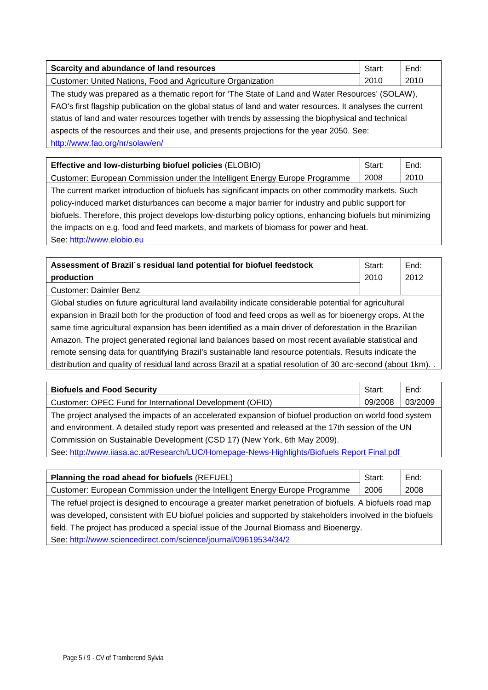| Scarcity and abundance of land resources                                                                   | Start: | End: |
|------------------------------------------------------------------------------------------------------------|--------|------|
| Customer: United Nations, Food and Agriculture Organization                                                | 2010   | 2010 |
| The study was prepared as a thematic report for 'The State of Land and Water Resources' (SOLAW),           |        |      |
| FAO's first flagship publication on the global status of land and water resources. It analyses the current |        |      |
| status of land and water resources together with trends by assessing the biophysical and technical         |        |      |
| aspects of the resources and their use, and presents projections for the year 2050. See:                   |        |      |
| http://www.fao.org/nr/solaw/en/                                                                            |        |      |

| Effective and low-disturbing biofuel policies (ELOBIO)                                                      | Start: | End: |
|-------------------------------------------------------------------------------------------------------------|--------|------|
| Customer: European Commission under the Intelligent Energy Europe Programme                                 | 2008   | 2010 |
| The current market introduction of biofuels has significant impacts on other commodity markets. Such        |        |      |
| policy-induced market disturbances can become a major barrier for industry and public support for           |        |      |
| biofuels. Therefore, this project develops low-disturbing policy options, enhancing biofuels but minimizing |        |      |
| the impacts on e.g. food and feed markets, and markets of biomass for power and heat.                       |        |      |
| See: http://www.elobio.eu                                                                                   |        |      |

**Assessment of Brazil´s residual land potential for biofuel feedstock production** Start: 2010 End: 2012 Customer: Daimler Benz Global studies on future agricultural land availability indicate considerable potential for agricultural expansion in Brazil both for the production of food and feed crops as well as for bioenergy crops. At the same time agricultural expansion has been identified as a main driver of deforestation in the Brazilian Amazon. The project generated regional land balances based on most recent available statistical and remote sensing data for quantifying Brazil's sustainable land resource potentials. Results indicate the distribution and quality of residual land across Brazil at a spatial resolution of 30 arc-second (about 1km).

| <b>Biofuels and Food Security</b>                                                                       | Start:  | End:    |  |
|---------------------------------------------------------------------------------------------------------|---------|---------|--|
| Customer: OPEC Fund for International Development (OFID)                                                | 09/2008 | 03/2009 |  |
| The project analysed the impacts of an accelerated expansion of biofuel production on world food system |         |         |  |
| and environment. A detailed study report was presented and released at the 17th session of the UN       |         |         |  |
| Commission on Sustainable Development (CSD 17) (New York, 6th May 2009).                                |         |         |  |
| See: http://www.iiasa.ac.at/Research/LUC/Homepage-News-Highlights/Biofuels Report Final.pdf             |         |         |  |

| Planning the road ahead for biofuels (REFUEL)                                                             | Start: | End: |  |
|-----------------------------------------------------------------------------------------------------------|--------|------|--|
| Customer: European Commission under the Intelligent Energy Europe Programme                               | 2006   | 2008 |  |
| The refuel project is designed to encourage a greater market penetration of biofuels. A biofuels road map |        |      |  |
| was developed, consistent with EU biofuel policies and supported by stakeholders involved in the biofuels |        |      |  |
| field. The project has produced a special issue of the Journal Biomass and Bioenergy.                     |        |      |  |
| See: http://www.sciencedirect.com/science/journal/09619534/34/2                                           |        |      |  |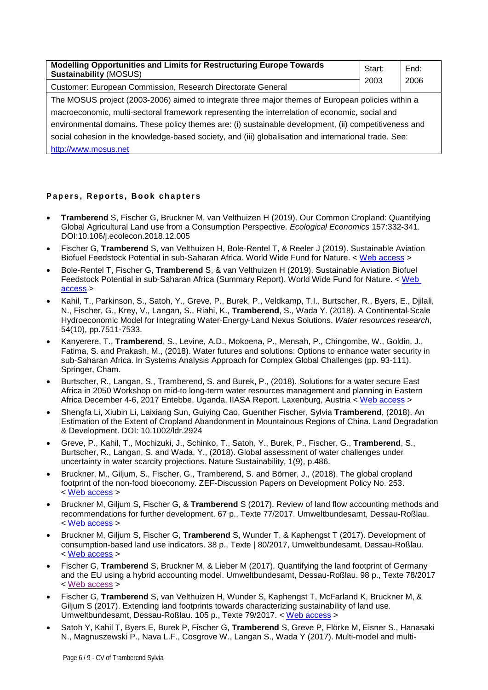| Modelling Opportunities and Limits for Restructuring Europe Towards<br><b>Sustainability (MOSUS)</b>  | Start: | End: |  |
|-------------------------------------------------------------------------------------------------------|--------|------|--|
| Customer: European Commission, Research Directorate General                                           | 2003   | 2006 |  |
| The MOSUS project (2003-2006) aimed to integrate three major themes of European policies within a     |        |      |  |
| macroeconomic, multi-sectoral framework representing the interrelation of economic, social and        |        |      |  |
| environmental domains. These policy themes are: (i) sustainable development, (ii) competitiveness and |        |      |  |
| social cohesion in the knowledge-based society, and (iii) globalisation and international trade. See: |        |      |  |
| http://www.mosus.net                                                                                  |        |      |  |

## **Papers , Reports, Book chapters**

- **Tramberend** S, Fischer G, Bruckner M, van Velthuizen H (2019). Our Common Cropland: Quantifying Global Agricultural Land use from a Consumption Perspective. *Ecological Economics* 157:332-341. DOI:10.106/j.ecolecon.2018.12.005
- Fischer G, **Tramberend** S, van Velthuizen H, Bole-Rentel T, & Reeler J (2019). Sustainable Aviation Biofuel Feedstock Potential in sub-Saharan Africa. World Wide Fund for Nature. < [Web access](http://pure.iiasa.ac.at/id/eprint/15626/) >
- Bole-Rentel T, Fischer G, **Tramberend** S, & van Velthuizen H (2019). Sustainable Aviation Biofuel Feedstock Potential in sub-Saharan Africa (Summary Report). World Wide Fund for Nature. < [Web](http://pure.iiasa.ac.at/id/eprint/15708/)  [access](http://pure.iiasa.ac.at/id/eprint/15708/) >
- Kahil, T., Parkinson, S., Satoh, Y., Greve, P., Burek, P., Veldkamp, T.I., Burtscher, R., Byers, E., Djilali, N., Fischer, G., Krey, V., Langan, S., Riahi, K., **Tramberend**, S., Wada Y. (2018). A Continental‐Scale Hydroeconomic Model for Integrating Water‐Energy‐Land Nexus Solutions. *Water resources research*, 54(10), pp.7511-7533.
- Kanyerere, T., **Tramberend**, S., Levine, A.D., Mokoena, P., Mensah, P., Chingombe, W., Goldin, J., Fatima, S. and Prakash, M., (2018). Water futures and solutions: Options to enhance water security in sub-Saharan Africa. In Systems Analysis Approach for Complex Global Challenges (pp. 93-111). Springer, Cham.
- Burtscher, R., Langan, S., Tramberend, S. and Burek, P., (2018). Solutions for a water secure East Africa in 2050 Workshop on mid-to long-term water resources management and planning in Eastern Africa December 4-6, 2017 Entebbe, Uganda. IIASA Report. Laxenburg, Austria < [Web access](http://pure.iiasa.ac.at/id/eprint/15364/) >
- Shengfa Li, Xiubin Li, Laixiang Sun, Guiying Cao, Guenther Fischer, Sylvia **Tramberend**, (2018). An Estimation of the Extent of Cropland Abandonment in Mountainous Regions of China. Land Degradation & Development. DOI: 10.1002/ldr.2924
- Greve, P., Kahil, T., Mochizuki, J., Schinko, T., Satoh, Y., Burek, P., Fischer, G., **Tramberend**, S., Burtscher, R., Langan, S. and Wada, Y., (2018). Global assessment of water challenges under uncertainty in water scarcity projections. Nature Sustainability, 1(9), p.486.
- Bruckner, M., Giljum, S., Fischer, G., Tramberend, S. and Börner, J., (2018). The global cropland footprint of the non-food bioeconomy. ZEF-Discussion Papers on Development Policy No. 253. < [Web access](http://epub.wu.ac.at/6608/2/DP_ZEF_253%5b1%5d.pdf) >
- Bruckner M, Giljum S, Fischer G, & **Tramberend** S (2017). Review of land flow accounting methods and recommendations for further development. 67 p., Texte 77/2017. Umweltbundesamt, Dessau-Roßlau. < [Web access](https://www.umweltbundesamt.de/sites/default/files/medien/1410/publikationen/2017-09-06_texte_77-2017_review-land-footprint.pdf) >
- Bruckner M, Giljum S, Fischer G, **Tramberend** S, Wunder T, & Kaphengst T (2017). Development of consumption-based land use indicators. 38 p., Texte | 80/2017, Umweltbundesamt, Dessau-Roßlau. < [Web access](https://www.umweltbundesamt.de/sites/default/files/medien/1410/publikationen/2017-09-06_texte_80-2017_synthesis-report.pdf) >
- Fischer G, **Tramberend** S, Bruckner M, & Lieber M (2017). Quantifying the land footprint of Germany and the EU using a hybrid accounting model. Umweltbundesamt, Dessau-Roßlau. 98 p., Texte 78/2017 < [Web access](https://www.umweltbundesamt.de/sites/default/files/medien/1410/publikationen/2017-09-06_texte_78-2017_quantifying-land-footprint.pdf) >
- Fischer G, **Tramberend** S, van Velthuizen H, Wunder S, Kaphengst T, McFarland K, Bruckner M, & Giljum S (2017). Extending land footprints towards characterizing sustainability of land use. Umweltbundesamt, Dessau-Roßlau. 105 p., Texte 79/2017. < [Web access](https://www.umweltbundesamt.de/sites/default/files/medien/1410/publikationen/2017-09-06_texte_79-2017_extended-land-footprint.pdf) >
- Satoh Y, Kahil T, Byers E, Burek P, Fischer G, **Tramberend** S, Greve P, Flörke M, Eisner S., Hanasaki N., Magnuszewski P., Nava L.F., Cosgrove W., Langan S., Wada Y (2017). Multi-model and multi-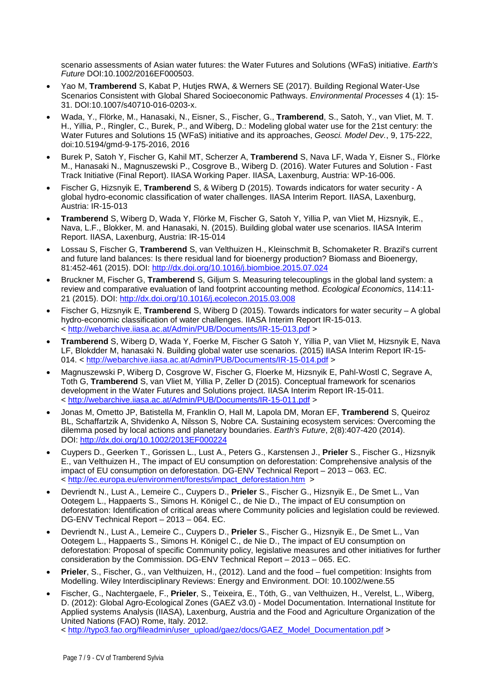scenario assessments of Asian water futures: the Water Futures and Solutions (WFaS) initiative. *Earth's Future* DOI:10.1002/2016EF000503.

- Yao M, **Tramberend** S, Kabat P, Hutjes RWA, & Werners SE (2017). Building Regional Water-Use Scenarios Consistent with Global Shared Socioeconomic Pathways. *Environmental Processes* 4 (1): 15- 31. DOI:10.1007/s40710-016-0203-x.
- Wada, Y., Flörke, M., Hanasaki, N., Eisner, S., Fischer, G., **Tramberend**, S., Satoh, Y., van Vliet, M. T. H., Yillia, P., Ringler, C., Burek, P., and Wiberg, D.: Modeling global water use for the 21st century: the Water Futures and Solutions 15 (WFaS) initiative and its approaches, *Geosci. Model Dev.*, 9, 175-222, doi:10.5194/gmd-9-175-2016, 2016
- Burek P, Satoh Y, Fischer G, Kahil MT, Scherzer A, **Tramberend** S, Nava LF, Wada Y, Eisner S., Flörke M., Hanasaki N., Magnuszewski P., Cosgrove B., Wiberg D. (2016). Water Futures and Solution - Fast Track Initiative (Final Report). IIASA Working Paper. IIASA, Laxenburg, Austria: WP-16-006.
- Fischer G, Hizsnyik E, **Tramberend** S, & Wiberg D (2015). Towards indicators for water security A global hydro-economic classification of water challenges. IIASA Interim Report. IIASA, Laxenburg, Austria: IR-15-013
- **Tramberend** S, Wiberg D, Wada Y, Flörke M, Fischer G, Satoh Y, Yillia P, van Vliet M, Hizsnyik, E., Nava, L.F., Blokker, M. and Hanasaki, N. (2015). Building global water use scenarios. IIASA Interim Report. IIASA, Laxenburg, Austria: IR-15-014
- Lossau S, Fischer G, **Tramberend** S, van Velthuizen H., Kleinschmit B, Schomaketer R. Brazil's current and future land balances: Is there residual land for bioenergy production? Biomass and Bioenergy, 81:452-461 (2015). DOI:<http://dx.doi.org/10.1016/j.biombioe.2015.07.024>
- Bruckner M, Fischer G, **Tramberend** S, Giljum S. Measuring telecouplings in the global land system: a review and comparative evaluation of land footprint accounting method. *Ecological Economics*, 114:11- 21 (2015). DOI:<http://dx.doi.org/10.1016/j.ecolecon.2015.03.008>
- Fischer G, Hizsnyik E, **Tramberend** S, Wiberg D (2015). Towards indicators for water security A global hydro-economic classification of water challenges. IIASA Interim Report IR-15-013. < <http://webarchive.iiasa.ac.at/Admin/PUB/Documents/IR-15-013.pdf> >
- **Tramberend** S, Wiberg D, Wada Y, Foerke M, Fischer G Satoh Y, Yillia P, van Vliet M, Hizsnyik E, Nava LF, Blokdder M, hanasaki N. Building global water use scenarios. (2015) IIASA Interim Report IR-15- 014. < <http://webarchive.iiasa.ac.at/Admin/PUB/Documents/IR-15-014.pdf> >
- Magnuszewski P, Wiberg D, Cosgrove W, Fischer G, Floerke M, Hizsnyik E, Pahl-Wostl C, Segrave A, Toth G, **Tramberend** S, van Vliet M, Yillia P, Zeller D (2015). Conceptual framework for scenarios development in the Water Futures and Solutions project. IIASA Interim Report IR-15-011. < <http://webarchive.iiasa.ac.at/Admin/PUB/Documents/IR-15-011.pdf> >
- Jonas M, Ometto JP, Batistella M, Franklin O, Hall M, Lapola DM, Moran EF, **Tramberend** S, Queiroz BL, Schaffartzik A, Shvidenko A, Nilsson S, Nobre CA. Sustaining ecosystem services: Overcoming the dilemma posed by local actions and planetary boundaries. *Earth's Future*, 2(8):407-420 (2014). DOI: <http://dx.doi.org/10.1002/2013EF000224>
- Cuypers D., Geerken T., Gorissen L., Lust A., Peters G., Karstensen J., **Prieler** S., Fischer G., Hizsnyik E., van Velthuizen H., The impact of EU consumption on deforestation: Comprehensive analysis of the impact of EU consumption on deforestation. DG-ENV Technical Report – 2013 – 063. EC. < [http://ec.europa.eu/environment/forests/impact\\_deforestation.htm](http://ec.europa.eu/environment/forests/impact_deforestation.htm) >
- Devriendt N., Lust A., Lemeire C., Cuypers D., **Prieler** S., Fischer G., Hizsnyik E., De Smet L., Van Ootegem L., Happaerts S., Simons H. Königel C., de Nie D., The impact of EU consumption on deforestation: Identification of critical areas where Community policies and legislation could be reviewed. DG-ENV Technical Report – 2013 – 064. EC.
- Devriendt N., Lust A., Lemeire C., Cuypers D., **Prieler** S., Fischer G., Hizsnyik E., De Smet L., Van Ootegem L., Happaerts S., Simons H. Königel C., de Nie D., The impact of EU consumption on deforestation: Proposal of specific Community policy, legislative measures and other initiatives for further consideration by the Commission. DG-ENV Technical Report – 2013 – 065. EC.
- **Prieler**, S., Fischer, G., van Velthuizen, H., (2012). Land and the food fuel competition: Insights from Modelling. Wiley Interdisciplinary Reviews: Energy and Environment. DOI: 10.1002/wene.55
- Fischer, G., Nachtergaele, F., **Prieler**, S., Teixeira, E., Tóth, G., van Velthuizen, H., Verelst, L., Wiberg, D. (2012): Global Agro-Ecological Zones (GAEZ v3.0) - Model Documentation. International Institute for Applied systems Analysis (IIASA), Laxenburg, Austria and the Food and Agriculture Organization of the United Nations (FAO) Rome, Italy. 2012.

< [http://typo3.fao.org/fileadmin/user\\_upload/gaez/docs/GAEZ\\_Model\\_Documentation.pdf](http://typo3.fao.org/fileadmin/user_upload/gaez/docs/GAEZ_Model_Documentation.pdf) >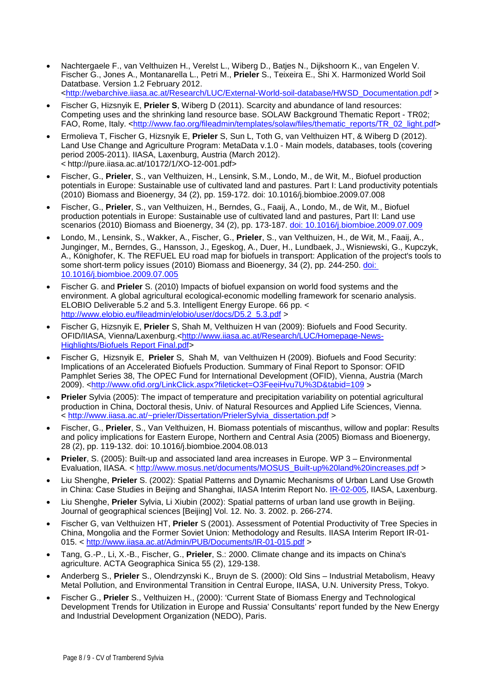- Nachtergaele F., van Velthuizen H., Verelst L., Wiberg D., Batjes N., Dijkshoorn K., van Engelen V. Fischer G., Jones A., Montanarella L., Petri M., **Prieler** S., Teixeira E., Shi X. Harmonized World Soil Datatbase. Version 1.2 February 2012. [<http://webarchive.iiasa.ac.at/Research/LUC/External-World-soil-database/HWSD\\_Documentation.pdf](http://webarchive.iiasa.ac.at/Research/LUC/External-World-soil-database/HWSD_Documentation.pdf) >
- Fischer G, Hizsnyik E, **Prieler S**, Wiberg D (2011). Scarcity and abundance of land resources: Competing uses and the shrinking land resource base. SOLAW Background Thematic Report - TR02; FAO, Rome, Italy. [<http://www.fao.org/fileadmin/templates/solaw/files/thematic\\_reports/TR\\_02\\_light.pdf>](http://www.fao.org/fileadmin/templates/solaw/files/thematic_reports/TR_02_light.pdf)
- Ermolieva T, Fischer G, Hizsnyik E, **Prieler** S, Sun L, Toth G, van Velthuizen HT, & Wiberg D (2012). Land Use Change and Agriculture Program: MetaData v.1.0 - Main models, databases, tools (covering period 2005-2011). IIASA, Laxenburg, Austria (March 2012). < http://pure.iiasa.ac.at/10172/1/XO-12-001.pdf>
- Fischer, G., **Prieler**, S., van Velthuizen, H., Lensink, S.M., Londo, M., de Wit, M., Biofuel production potentials in Europe: Sustainable use of cultivated land and pastures. Part I: Land productivity potentials (2010) Biomass and Bioenergy, 34 (2), pp. 159-172. doi: 10.1016/j.biombioe.2009.07.008
- Fischer, G., **Prieler**, S., van Velthuizen, H., Berndes, G., Faaij, A., Londo, M., de Wit, M., Biofuel production potentials in Europe: Sustainable use of cultivated land and pastures, Part II: Land use scenarios (2010) Biomass and Bioenergy, 34 (2), pp. 173-187. [doi: 10.1016/j.biombioe.2009.07.009](http://www.sciencedirect.com/science/article/pii/S0961953409001470?via%3Dihub)
- Londo, M., Lensink, S., Wakker, A., Fischer, G., **Prieler**, S., van Velthuizen, H., de Wit, M., Faaij, A., Junginger, M., Berndes, G., Hansson, J., Egeskog, A., Duer, H., Lundbaek, J., Wisniewski, G., Kupczyk, A., Könighofer, K. The REFUEL EU road map for biofuels in transport: Application of the project's tools to some short-term policy issues (2010) Biomass and Bioenergy, 34 (2), pp. 244-250. [doi:](http://www.sciencedirect.com/science/article/pii/S0961953409001482?via%3Dihub)  [10.1016/j.biombioe.2009.07.005](http://www.sciencedirect.com/science/article/pii/S0961953409001482?via%3Dihub)
- Fischer G. and **Prieler** S. (2010) Impacts of biofuel expansion on world food systems and the environment. A global agricultural ecological-economic modelling framework for scenario analysis. ELOBIO Deliverable 5.2 and 5.3. Intelligent Energy Europe. 66 pp. < [http://www.elobio.eu/fileadmin/elobio/user/docs/D5.2\\_5.3.pdf](http://www.elobio.eu/fileadmin/elobio/user/docs/D5.2_5.3.pdf) >
- Fischer G, Hizsnyik E, **Prieler** S, Shah M, Velthuizen H van (2009): Biofuels and Food Security. OFID/IIASA, Vienna/Laxenburg.[<http://www.iiasa.ac.at/Research/LUC/Homepage-News-](http://www.iiasa.ac.at/Research/LUC/Homepage-News-Highlights/Biofuels%20Report%20Final.pdf)[Highlights/Biofuels Report Final.pdf>](http://www.iiasa.ac.at/Research/LUC/Homepage-News-Highlights/Biofuels%20Report%20Final.pdf)
- Fischer G, Hizsnyik E, **Prieler** S, Shah M, van Velthuizen H (2009). Biofuels and Food Security: Implications of an Accelerated Biofuels Production. Summary of Final Report to Sponsor: OFID Pamphlet Series 38, The OPEC Fund for International Development (OFID), Vienna, Austria (March 2009). [<http://www.ofid.org/LinkClick.aspx?fileticket=O3FeeiHvu7U%3D&tabid=109](http://www.ofid.org/LinkClick.aspx?fileticket=O3FeeiHvu7U%3D&tabid=109) >
- **Prieler** Sylvia (2005): The impact of temperature and precipitation variability on potential agricultural production in China, Doctoral thesis, Univ. of Natural Resources and Applied Life Sciences, Vienna. < [http://www.iiasa.ac.at/~prieler/Dissertation/PrielerSylvia\\_dissertation.pdf](http://www.iiasa.ac.at/%7Eprieler/Dissertation/PrielerSylvia_dissertation.pdf) >
- Fischer, G., **Prieler**, S., Van Velthuizen, H. Biomass potentials of miscanthus, willow and poplar: Results and policy implications for Eastern Europe, Northern and Central Asia (2005) Biomass and Bioenergy, 28 (2), pp. 119-132. doi: 10.1016/j.biombioe.2004.08.013
- **Prieler**, S. (2005): Built-up and associated land area increases in Europe. WP 3 Environmental Evaluation, IIASA. < [http://www.mosus.net/documents/MOSUS\\_Built-up%20land%20increases.pdf](http://www.mosus.net/documents/MOSUS_Built-up%20land%20increases.pdf) >
- Liu Shenghe, **Prieler** S. (2002): Spatial Patterns and Dynamic Mechanisms of Urban Land Use Growth in China: Case Studies in Beijing and Shanghai, IIASA Interim Report No. [IR-02-005,](http://pure.iiasa.ac.at/6779/1/IR-02-005.pdf) IIASA, Laxenburg.
- Liu Shenghe, **Prieler** Sylvia, Li Xiubin (2002): Spatial patterns of urban land use growth in Beijing. Journal of geographical sciences [Beijing] Vol. 12. No. 3. 2002. p. 266-274.
- Fischer G, van Velthuizen HT, **Prieler** S (2001). Assessment of Potential Productivity of Tree Species in China, Mongolia and the Former Soviet Union: Methodology and Results. IIASA Interim Report IR-01- 015. < <http://www.iiasa.ac.at/Admin/PUB/Documents/IR-01-015.pdf> >
- Tang, G.-P., Li, X.-B., Fischer, G., **Prieler**, S.: 2000. Climate change and its impacts on China's agriculture. ACTA Geographica Sinica 55 (2), 129-138.
- Anderberg S., **Prieler** S., Olendrzynski K., Bruyn de S. (2000): Old Sins Industrial Metabolism, Heavy Metal Pollution, and Environmental Transition in Central Europe, IIASA, U.N. University Press, Tokyo.
- Fischer G., **Prieler** S., Velthuizen H., (2000): 'Current State of Biomass Energy and Technological Development Trends for Utilization in Europe and Russia' Consultants' report funded by the New Energy and Industrial Development Organization (NEDO), Paris.